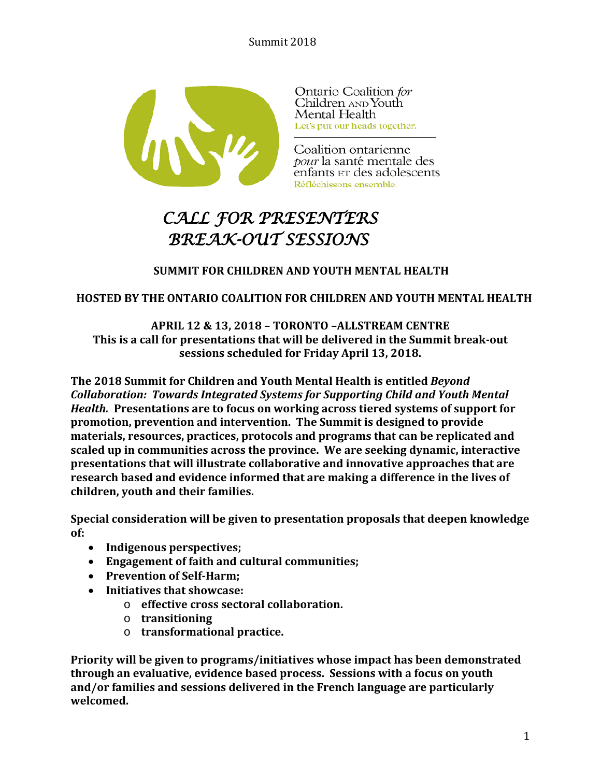

Ontario Coalition for Children AND Youth Mental Health Let's put our heads together.

Coalition ontarienne pour la santé mentale des enfants ET des adolescents Réfléchissons ensemble.

# *CALL FOR PRESENTERS BREAK-OUT SESSIONS*

# **SUMMIT FOR CHILDREN AND YOUTH MENTAL HEALTH**

# **HOSTED BY THE ONTARIO COALITION FOR CHILDREN AND YOUTH MENTAL HEALTH**

**APRIL 12 & 13, 2018 – TORONTO –ALLSTREAM CENTRE This is a call for presentations that will be delivered in the Summit break-out sessions scheduled for Friday April 13, 2018.**

**The 2018 Summit for Children and Youth Mental Health is entitled** *Beyond Collaboration: Towards Integrated Systems for Supporting Child and Youth Mental Health.* **Presentations are to focus on working across tiered systems of support for promotion, prevention and intervention. The Summit is designed to provide materials, resources, practices, protocols and programs that can be replicated and scaled up in communities across the province. We are seeking dynamic, interactive presentations that will illustrate collaborative and innovative approaches that are research based and evidence informed that are making a difference in the lives of children, youth and their families.**

**Special consideration will be given to presentation proposals that deepen knowledge of:** 

- **Indigenous perspectives;**
- **Engagement of faith and cultural communities;**
- **Prevention of Self-Harm;**
- **Initiatives that showcase:** 
	- o **effective cross sectoral collaboration.**
	- o **transitioning**
	- o **transformational practice.**

**Priority will be given to programs/initiatives whose impact has been demonstrated through an evaluative, evidence based process. Sessions with a focus on youth and/or families and sessions delivered in the French language are particularly welcomed.**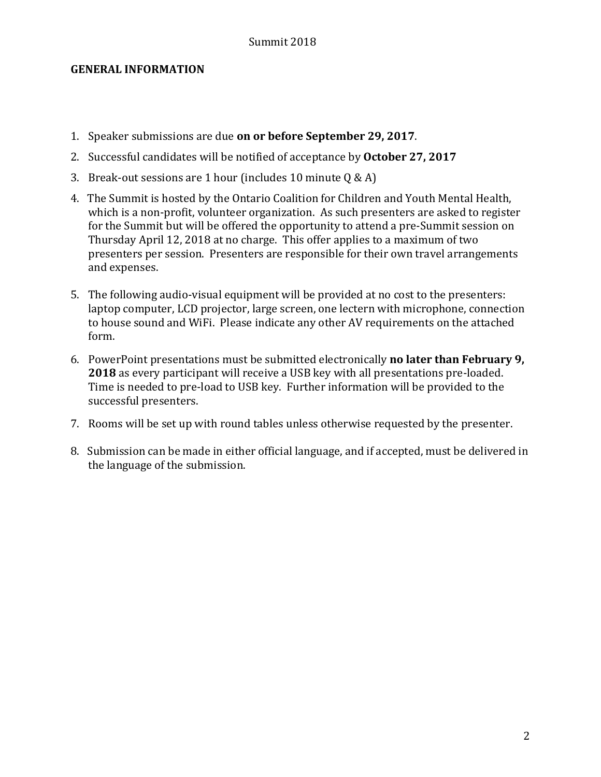#### **GENERAL INFORMATION**

- 1. Speaker submissions are due **on or before September 29, 2017**.
- 2. Successful candidates will be notified of acceptance by **October 27, 2017**
- 3. Break-out sessions are 1 hour (includes 10 minute  $Q & A$ )
- 4. The Summit is hosted by the Ontario Coalition for Children and Youth Mental Health, which is a non-profit, volunteer organization. As such presenters are asked to register for the Summit but will be offered the opportunity to attend a pre-Summit session on Thursday April 12, 2018 at no charge. This offer applies to a maximum of two presenters per session. Presenters are responsible for their own travel arrangements and expenses.
- 5. The following audio-visual equipment will be provided at no cost to the presenters: laptop computer, LCD projector, large screen, one lectern with microphone, connection to house sound and WiFi. Please indicate any other AV requirements on the attached form.
- 6. PowerPoint presentations must be submitted electronically **no later than February 9, 2018** as every participant will receive a USB key with all presentations pre-loaded. Time is needed to pre-load to USB key. Further information will be provided to the successful presenters.
- 7. Rooms will be set up with round tables unless otherwise requested by the presenter.
- 8. Submission can be made in either official language, and if accepted, must be delivered in the language of the submission.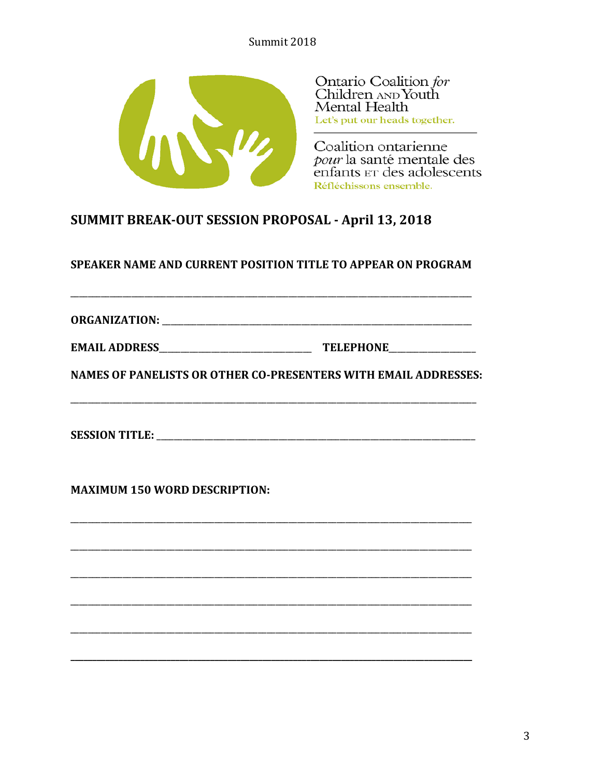

Ontario Coalition for Children AND Youth Mental Health Let's put our heads together.

Coalition ontarienne pour la santé mentale des enfants ET des adolescents Réfléchissons ensemble.

# SUMMIT BREAK-OUT SESSION PROPOSAL - April 13, 2018

SPEAKER NAME AND CURRENT POSITION TITLE TO APPEAR ON PROGRAM

**ORGANIZATION:** 

| <b>EMAIL ADDRESS</b> | <b>TELEPHONE</b> |
|----------------------|------------------|
|                      |                  |

**NAMES OF PANELISTS OR OTHER CO-PRESENTERS WITH EMAIL ADDRESSES:** 

**MAXIMUM 150 WORD DESCRIPTION:**